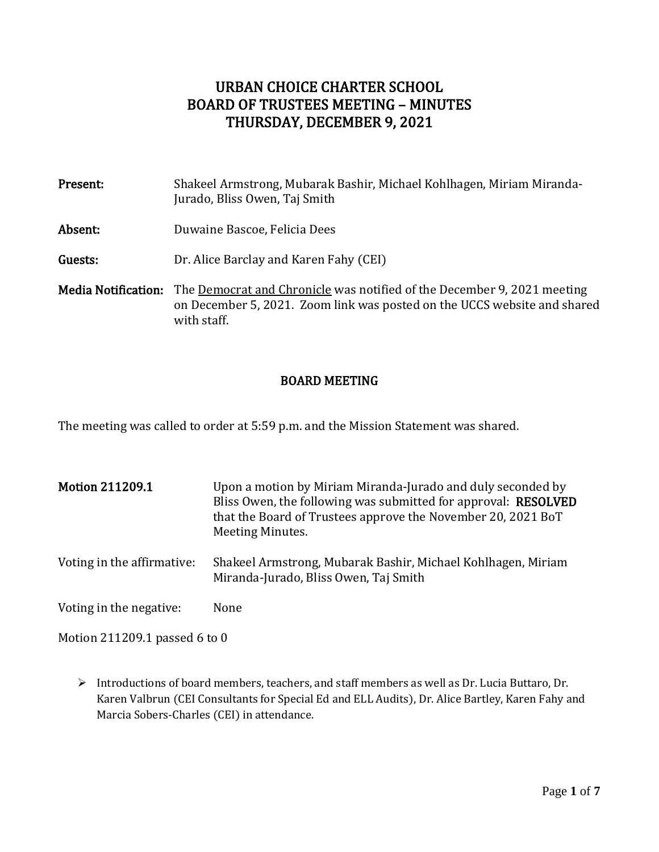# URBAN CHOICE CHARTER SCHOOL BOARD OF TRUSTEES MEETING – MINUTES THURSDAY, DECEMBER 9, 2021

| Present:                   | Shakeel Armstrong, Mubarak Bashir, Michael Kohlhagen, Miriam Miranda-<br>Jurado, Bliss Owen, Taj Smith                                                             |
|----------------------------|--------------------------------------------------------------------------------------------------------------------------------------------------------------------|
| Absent:                    | Duwaine Bascoe, Felicia Dees                                                                                                                                       |
| Guests:                    | Dr. Alice Barclay and Karen Fahy (CEI)                                                                                                                             |
| <b>Media Notification:</b> | The Democrat and Chronicle was notified of the December 9, 2021 meeting<br>on December 5, 2021. Zoom link was posted on the UCCS website and shared<br>with staff. |

## BOARD MEETING

The meeting was called to order at 5:59 p.m. and the Mission Statement was shared.

| <b>Motion 211209.1</b>     | Upon a motion by Miriam Miranda-Jurado and duly seconded by<br>Bliss Owen, the following was submitted for approval: RESOLVED<br>that the Board of Trustees approve the November 20, 2021 BoT<br>Meeting Minutes. |
|----------------------------|-------------------------------------------------------------------------------------------------------------------------------------------------------------------------------------------------------------------|
| Voting in the affirmative: | Shakeel Armstrong, Mubarak Bashir, Michael Kohlhagen, Miriam<br>Miranda-Jurado, Bliss Owen, Taj Smith                                                                                                             |
| Voting in the negative:    | None                                                                                                                                                                                                              |

Motion 211209.1 passed 6 to 0

➢ Introductions of board members, teachers, and staff members as well as Dr. Lucia Buttaro, Dr. Karen Valbrun (CEI Consultants for Special Ed and ELL Audits), Dr. Alice Bartley, Karen Fahy and Marcia Sobers-Charles (CEI) in attendance.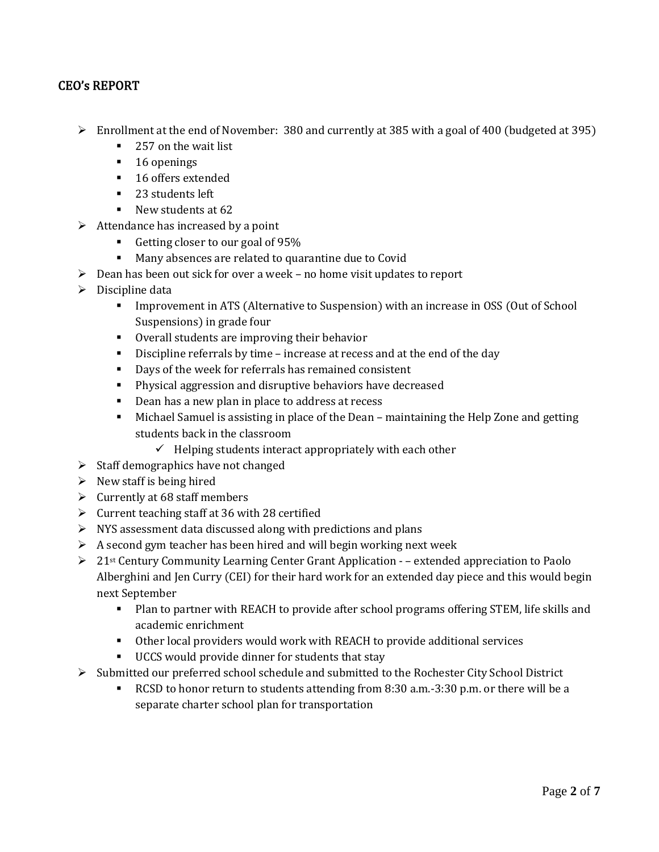## CEO's REPORT

- ➢ Enrollment at the end of November: 380 and currently at 385 with a goal of 400 (budgeted at 395)
	- 257 on the wait list
	- 16 openings
	- 16 offers extended
	- 23 students left
	- New students at 62
- $\triangleright$  Attendance has increased by a point
	- Getting closer to our goal of 95%
	- Many absences are related to quarantine due to Covid
- ➢ Dean has been out sick for over a week no home visit updates to report
- ➢ Discipline data
	- **•** Improvement in ATS (Alternative to Suspension) with an increase in OSS (Out of School Suspensions) in grade four
	- Overall students are improving their behavior
	- **•** Discipline referrals by time increase at recess and at the end of the day
	- Days of the week for referrals has remained consistent
	- Physical aggression and disruptive behaviors have decreased
	- Dean has a new plan in place to address at recess
	- Michael Samuel is assisting in place of the Dean maintaining the Help Zone and getting students back in the classroom
		- $\checkmark$  Helping students interact appropriately with each other
- $\triangleright$  Staff demographics have not changed
- $\triangleright$  New staff is being hired
- $\triangleright$  Currently at 68 staff members
- $\triangleright$  Current teaching staff at 36 with 28 certified
- ➢ NYS assessment data discussed along with predictions and plans
- $\triangleright$  A second gym teacher has been hired and will begin working next week
- $\triangleright$  21<sup>st</sup> Century Community Learning Center Grant Application – extended appreciation to Paolo Alberghini and Jen Curry (CEI) for their hard work for an extended day piece and this would begin next September
	- Plan to partner with REACH to provide after school programs offering STEM, life skills and academic enrichment
	- Other local providers would work with REACH to provide additional services
	- UCCS would provide dinner for students that stay
- ➢ Submitted our preferred school schedule and submitted to the Rochester City School District
	- RCSD to honor return to students attending from 8:30 a.m.-3:30 p.m. or there will be a separate charter school plan for transportation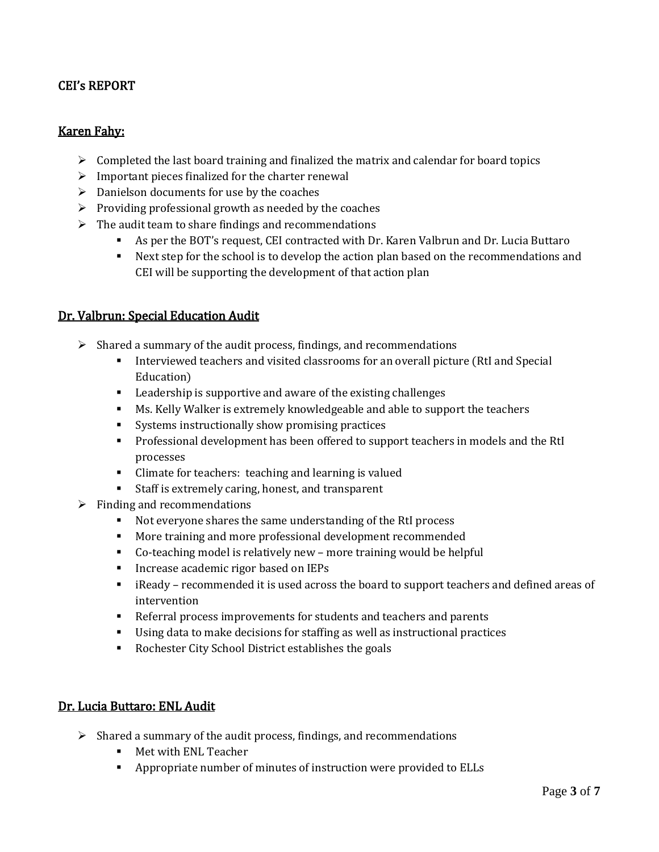## CEI's REPORT

### Karen Fahy:

- $\triangleright$  Completed the last board training and finalized the matrix and calendar for board topics
- $\triangleright$  Important pieces finalized for the charter renewal
- $\triangleright$  Danielson documents for use by the coaches
- $\triangleright$  Providing professional growth as needed by the coaches
- ➢ The audit team to share findings and recommendations
	- As per the BOT's request, CEI contracted with Dr. Karen Valbrun and Dr. Lucia Buttaro
	- Next step for the school is to develop the action plan based on the recommendations and CEI will be supporting the development of that action plan

#### Dr. Valbrun: Special Education Audit

- ➢ Shared a summary of the audit process, findings, and recommendations
	- **•** Interviewed teachers and visited classrooms for an overall picture (RtI and Special Education)
	- Leadership is supportive and aware of the existing challenges
	- Ms. Kelly Walker is extremely knowledgeable and able to support the teachers
	- Systems instructionally show promising practices
	- **•** Professional development has been offered to support teachers in models and the RtI processes
	- Climate for teachers: teaching and learning is valued
	- Staff is extremely caring, honest, and transparent
- $\triangleright$  Finding and recommendations
	- Not everyone shares the same understanding of the RtI process
	- More training and more professional development recommended
	- Co-teaching model is relatively new more training would be helpful
	- Increase academic rigor based on IEPs
	- iReady recommended it is used across the board to support teachers and defined areas of intervention
	- Referral process improvements for students and teachers and parents
	- Using data to make decisions for staffing as well as instructional practices
	- Rochester City School District establishes the goals

#### Dr. Lucia Buttaro: ENL Audit

- ➢ Shared a summary of the audit process, findings, and recommendations
	- Met with ENL Teacher
	- Appropriate number of minutes of instruction were provided to ELLs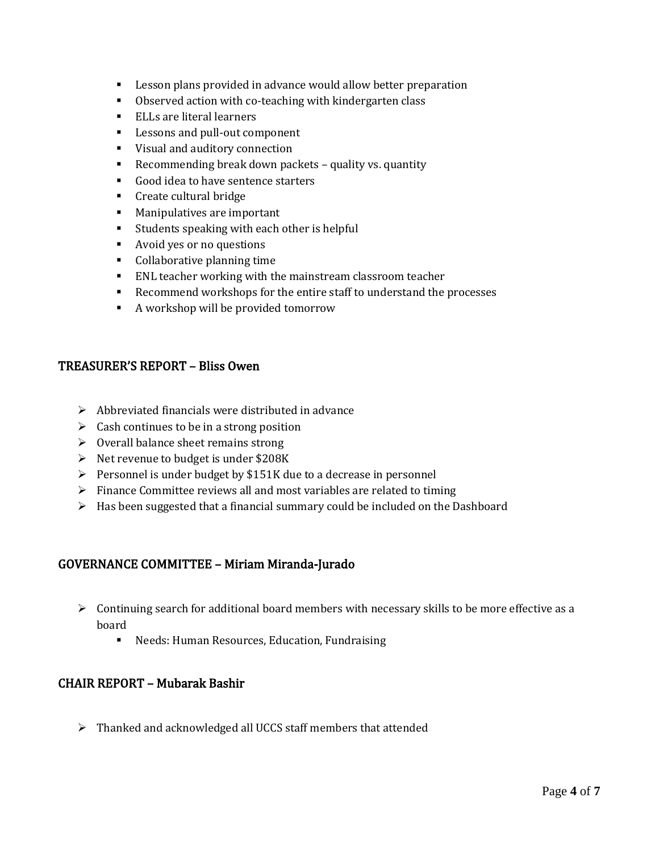- Lesson plans provided in advance would allow better preparation
- Observed action with co-teaching with kindergarten class
- ELLs are literal learners
- Lessons and pull-out component
- Visual and auditory connection
- Recommending break down packets quality vs. quantity
- Good idea to have sentence starters
- Create cultural bridge
- Manipulatives are important
- Students speaking with each other is helpful
- Avoid yes or no questions
- Collaborative planning time
- ENL teacher working with the mainstream classroom teacher
- Recommend workshops for the entire staff to understand the processes
- A workshop will be provided tomorrow

### TREASURER'S REPORT – Bliss Owen

- $\triangleright$  Abbreviated financials were distributed in advance
- $\triangleright$  Cash continues to be in a strong position
- $\triangleright$  Overall balance sheet remains strong
- ➢ Net revenue to budget is under \$208K
- $\triangleright$  Personnel is under budget by \$151K due to a decrease in personnel
- ➢ Finance Committee reviews all and most variables are related to timing
- $\triangleright$  Has been suggested that a financial summary could be included on the Dashboard

## GOVERNANCE COMMITTEE – Miriam Miranda-Jurado

- $\triangleright$  Continuing search for additional board members with necessary skills to be more effective as a board
	- Needs: Human Resources, Education, Fundraising

## CHAIR REPORT – Mubarak Bashir

➢ Thanked and acknowledged all UCCS staff members that attended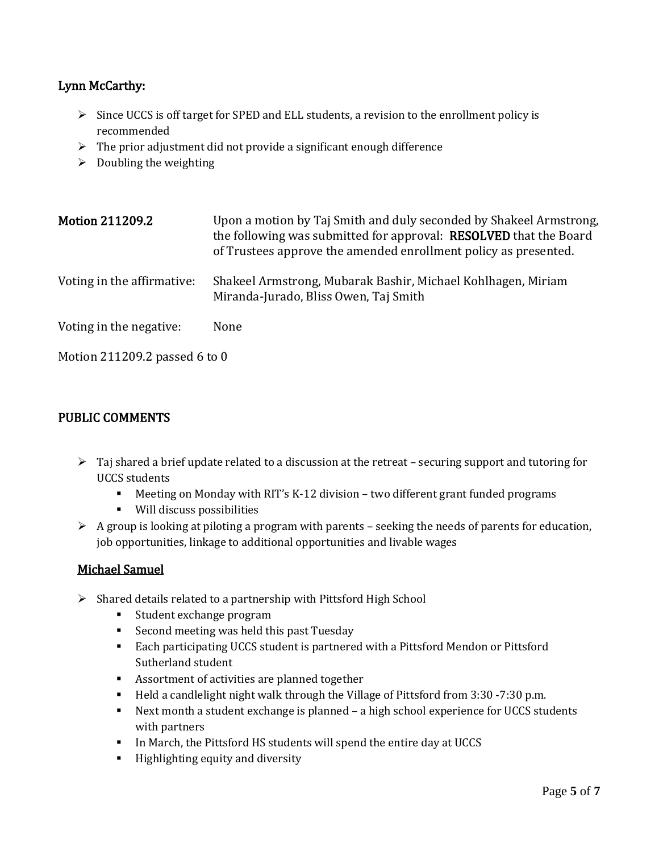## Lynn McCarthy:

- ➢ Since UCCS is off target for SPED and ELL students, a revision to the enrollment policy is recommended
- $\triangleright$  The prior adjustment did not provide a significant enough difference
- $\triangleright$  Doubling the weighting

| <b>Motion 211209.2</b>        | Upon a motion by Taj Smith and duly seconded by Shakeel Armstrong,<br>the following was submitted for approval: RESOLVED that the Board<br>of Trustees approve the amended enrollment policy as presented. |
|-------------------------------|------------------------------------------------------------------------------------------------------------------------------------------------------------------------------------------------------------|
| Voting in the affirmative:    | Shakeel Armstrong, Mubarak Bashir, Michael Kohlhagen, Miriam<br>Miranda-Jurado, Bliss Owen, Taj Smith                                                                                                      |
| Voting in the negative:       | None                                                                                                                                                                                                       |
| Motion 211209.2 passed 6 to 0 |                                                                                                                                                                                                            |

### PUBLIC COMMENTS

- $\triangleright$  Taj shared a brief update related to a discussion at the retreat securing support and tutoring for UCCS students
	- Meeting on Monday with RIT's K-12 division two different grant funded programs
	- Will discuss possibilities
- $\triangleright$  A group is looking at piloting a program with parents seeking the needs of parents for education, job opportunities, linkage to additional opportunities and livable wages

#### Michael Samuel

- ➢ Shared details related to a partnership with Pittsford High School
	- Student exchange program
	- Second meeting was held this past Tuesday
	- Each participating UCCS student is partnered with a Pittsford Mendon or Pittsford Sutherland student
	- Assortment of activities are planned together
	- Held a candlelight night walk through the Village of Pittsford from 3:30 -7:30 p.m.
	- Next month a student exchange is planned a high school experience for UCCS students with partners
	- In March, the Pittsford HS students will spend the entire day at UCCS
	- Highlighting equity and diversity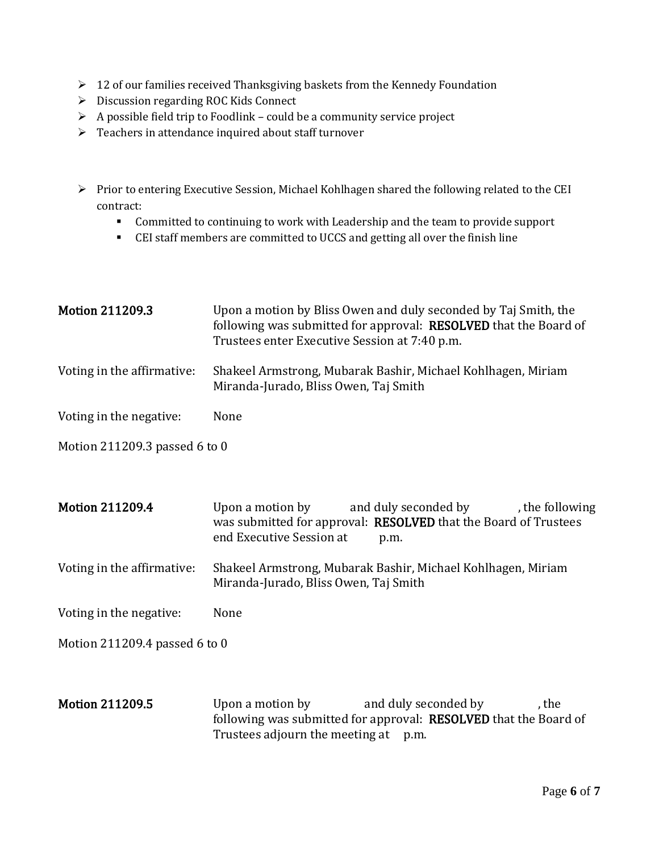- $\geq 12$  of our families received Thanksgiving baskets from the Kennedy Foundation
- ➢ Discussion regarding ROC Kids Connect
- $\triangleright$  A possible field trip to Foodlink could be a community service project
- ➢ Teachers in attendance inquired about staff turnover
- ➢ Prior to entering Executive Session, Michael Kohlhagen shared the following related to the CEI contract:
	- **Committed to continuing to work with Leadership and the team to provide support**
	- CEI staff members are committed to UCCS and getting all over the finish line

| <b>Motion 211209.3</b>        | Upon a motion by Bliss Owen and duly seconded by Taj Smith, the<br>following was submitted for approval: RESOLVED that the Board of<br>Trustees enter Executive Session at 7:40 p.m. |
|-------------------------------|--------------------------------------------------------------------------------------------------------------------------------------------------------------------------------------|
| Voting in the affirmative:    | Shakeel Armstrong, Mubarak Bashir, Michael Kohlhagen, Miriam<br>Miranda-Jurado, Bliss Owen, Taj Smith                                                                                |
| Voting in the negative:       | None                                                                                                                                                                                 |
| Motion 211209.3 passed 6 to 0 |                                                                                                                                                                                      |

Motion 211209.4 Upon a motion by and duly seconded by the following was submitted for approval: RESOLVED that the Board of Trustees end Executive Session at p.m.

Voting in the affirmative: Shakeel Armstrong, Mubarak Bashir, Michael Kohlhagen, Miriam Miranda-Jurado, Bliss Owen, Taj Smith

Voting in the negative: None

Motion 211209.4 passed 6 to 0

Motion 211209.5 Upon a motion by and duly seconded by the following was submitted for approval: RESOLVED that the Board of Trustees adjourn the meeting at p.m.